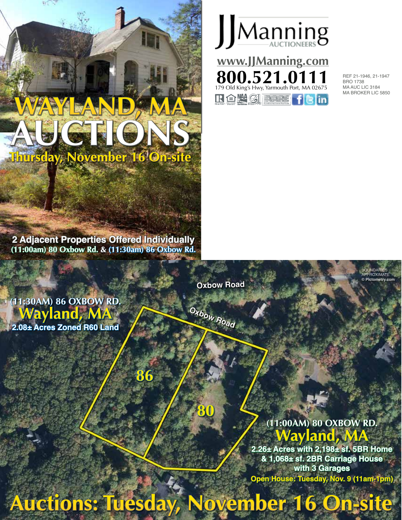



BRO 1738 MA AUC LIC 3184 MA BROKER LIC 5850

> BOUNDARIES **ROXIMATE © Pictometry.com**

**2 Adjacent Properties Offered Individually (11:00am) 80 Oxbow Rd. & (11:30am) 86 Oxbow Rd.**

**86**

**Oxbow Road**

**Oxbow Road**

**(11:30AM) 86 OXBOW RD. Wayland, MA 2.08± Acres Zoned R60 Land**

# **(11:00AM) 80 OXBOW RD. Wayland, MA**

**2.26± Acres with 2,198± sf. 5BR Home & 1,068± sf. 2BR Carriage House with 3 Garages Open House: Tuesday, Nov. 9 (11am-1pm)**

**Auctions: Tuesday, November 16 On-site**

**80**